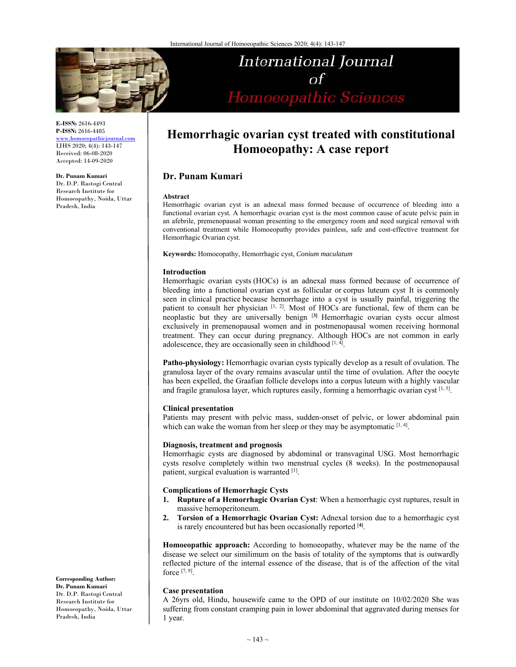

**International Journal**  $of$ Homoeopathic Sciences

**E-ISSN:** 2616-4493 **P-ISSN:** 2616-4485 www.homoeopathicjournal.com IJHS 2020; 4(4): 143-147

Received: 06-08-2020 Accepted: 14-09-2020

**Dr. Punam Kumari** 

Dr. D.P. Rastogi Central Research Institute for Homoeopathy, Noida, Uttar Pradesh, India

# **Hemorrhagic ovarian cyst treated with constitutional Homoeopathy: A case report**

## **Dr. Punam Kumari**

#### **Abstract**

Hemorrhagic ovarian cyst is an adnexal mass formed because of occurrence of bleeding into a functional ovarian cyst. A hemorrhagic ovarian cyst is the most common cause of acute pelvic pain in an afebrile, premenopausal woman presenting to the emergency room and need surgical removal with conventional treatment while Homoeopathy provides painless, safe and cost-effective treatment for Hemorrhagic Ovarian cyst.

**Keywords:** Homoeopathy, Hemorrhagic cyst, *Conium maculatum*

## **Introduction**

Hemorrhagic ovarian cysts (HOCs) is an adnexal mass formed because of occurrence of bleeding into a functional ovarian cyst as follicular or corpus luteum cyst. It is commonly seen in clinical practice because hemorrhage into a cyst is usually painful, triggering the patient to consult her physician [1, 2]. Most of HOCs are functional, few of them can be neoplastic but they are universally benign [**3]** Hemorrhagic ovarian cysts occur almost exclusively in premenopausal women and in postmenopausal women receiving hormonal treatment. They can occur during pregnancy. Although HOCs are not common in early adolescence, they are occasionally seen in childhood  $[1, 4]$ .

**Patho-physiology:** Hemorrhagic ovarian cysts typically develop as a result of ovulation. The granulosa layer of the ovary remains avascular until the time of ovulation. After the oocyte has been expelled, the Graafian follicle develops into a corpus luteum with a highly vascular and fragile granulosa layer, which ruptures easily, forming a hemorrhagic ovarian cyst  $\left[1, 5\right]$ .

#### **Clinical presentation**

Patients may present with pelvic mass, sudden-onset of pelvic, or lower abdominal pain which can wake the woman from her sleep or they may be asymptomatic  $[1, 4]$ .

## **Diagnosis, treatment and prognosis**

Hemorrhagic cysts are diagnosed by abdominal or transvaginal USG. Most hemorrhagic cysts resolve completely within two menstrual cycles (8 weeks). In the postmenopausal patient, surgical evaluation is warranted [1].

## **Complications of Hemorrhagic Cysts**

- **1. Rupture of a Hemorrhagic Ovarian Cyst**: When a hemorrhagic cyst ruptures, result in massive hemoperitoneum.
- **2. Torsion of a Hemorrhagic Ovarian Cyst:** Adnexal torsion due to a hemorrhagic cyst is rarely encountered but has been occasionally reported [**4]**.

**Homoeopathic approach:** According to homoeopathy, whatever may be the name of the disease we select our similimum on the basis of totality of the symptoms that is outwardly reflected picture of the internal essence of the disease, that is of the affection of the vital force  $[7, 9]$ .

## **Case presentation**

A 26yrs old, Hindu, housewife came to the OPD of our institute on 10/02/2020 She was suffering from constant cramping pain in lower abdominal that aggravated during menses for 1 year.

**Corresponding Author: Dr. Punam Kumari**  Dr. D.P. Rastogi Central Research Institute for Homoeopathy, Noida, Uttar Pradesh, India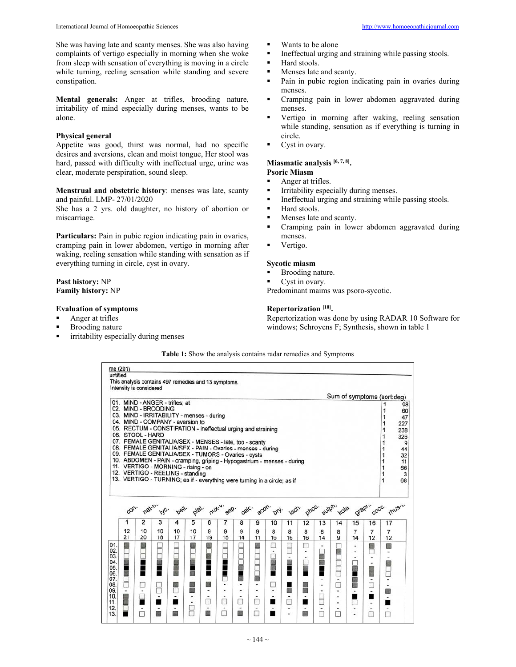She was having late and scanty menses. She was also having complaints of vertigo especially in morning when she woke from sleep with sensation of everything is moving in a circle while turning, reeling sensation while standing and severe constipation.

**Mental generals:** Anger at trifles, brooding nature, irritability of mind especially during menses, wants to be alone.

## **Physical general**

Appetite was good, thirst was normal, had no specific desires and aversions, clean and moist tongue, Her stool was hard, passed with difficulty with ineffectual urge, urine was clear, moderate perspiration, sound sleep.

**Menstrual and obstetric history**: menses was late, scanty and painful. LMP- 27/01/2020

She has a 2 yrs. old daughter, no history of abortion or miscarriage.

Particulars: Pain in pubic region indicating pain in ovaries, cramping pain in lower abdomen, vertigo in morning after waking, reeling sensation while standing with sensation as if everything turning in circle, cyst in ovary.

## **Past history:** NP **Family history:** NP

#### **Evaluation of symptoms**

- Anger at trifles
- Brooding nature
- irritability especially during menses
- Wants to be alone
- Ineffectual urging and straining while passing stools.
- **Hard stools.**
- Menses late and scanty.
- Pain in pubic region indicating pain in ovaries during menses.
- Cramping pain in lower abdomen aggravated during menses.
- Vertigo in morning after waking, reeling sensation while standing, sensation as if everything is turning in circle.
- Cyst in ovary.

## **Miasmatic analysis [6, 7, 8].**

## **Psoric Miasm**

- Anger at trifles.
- Irritability especially during menses.
- Ineffectual urging and straining while passing stools.
- **Hard stools.**
- Menses late and scanty.
- Cramping pain in lower abdomen aggravated during menses.
- Vertigo.

## **Sycotic miasm**

- Brooding nature.
- Cyst in ovary.

Predominant maims was psoro-sycotic.

#### **Repertorization [10].**

Repertorization was done by using RADAR 10 Software for windows; Schroyens F; Synthesis, shown in table 1

| <b>Table 1:</b> Show the analysis contains radar remedies and Symptoms |  |  |
|------------------------------------------------------------------------|--|--|
|                                                                        |  |  |

| 06. STOOL - HARD |                  | 01. MIND - ANGER - trifles; at<br>02. MIND - BROODING<br>03. MIND - IRRITABILITY - menses - during<br>04. MIND - COMPANY - aversion to<br>05. RECTUM - CONSTIPATION - ineffectual urging and straining<br>07. FEMALE GENITALIA/SEX - MENSES - late, too - scanty<br>08. FEMALE GENITALIA/SEX - PAIN - Ovaries - menses - during<br>09. FEMALE GENITALIA/SEX - TUMORS - Ovaries - cysts<br>10. ABDOMEN - PAIN - cramping, griping - Hypogastrium - menses - during<br>11. VERTIGO - MORNING - rising - on<br>12. VERTIGO - REELING - standing<br>13. VERTIGO - TURNING; as if - everything were turning in a circle; as if |                       |                                                   |                                                        |                                 |                                      |                            |                                             |                                                  |                                                                                                         |                                                           |                                                                                 |                                                              |                                                   | 1<br>1<br>1<br>227<br>1<br>1<br>1<br>1<br>1<br>1<br>1<br>1<br>1 |
|------------------|------------------|---------------------------------------------------------------------------------------------------------------------------------------------------------------------------------------------------------------------------------------------------------------------------------------------------------------------------------------------------------------------------------------------------------------------------------------------------------------------------------------------------------------------------------------------------------------------------------------------------------------------------|-----------------------|---------------------------------------------------|--------------------------------------------------------|---------------------------------|--------------------------------------|----------------------------|---------------------------------------------|--------------------------------------------------|---------------------------------------------------------------------------------------------------------|-----------------------------------------------------------|---------------------------------------------------------------------------------|--------------------------------------------------------------|---------------------------------------------------|-----------------------------------------------------------------|
|                  |                  |                                                                                                                                                                                                                                                                                                                                                                                                                                                                                                                                                                                                                           |                       |                                                   |                                                        |                                 |                                      |                            |                                             |                                                  |                                                                                                         |                                                           |                                                                                 |                                                              |                                                   |                                                                 |
| Con.             |                  | nat-n.<br>$M_{\rm C}$ .                                                                                                                                                                                                                                                                                                                                                                                                                                                                                                                                                                                                   | bell.                 | plat.                                             | <b>nux</b> y.                                          | SBP.                            | calc.                                | acon                       | Py.                                         | lach.                                            | phos.                                                                                                   | sulph.                                                    | <b>KOla</b>                                                                     | graph.                                                       | Cocc.                                             | <b>MUS</b>                                                      |
| 1                | $\overline{2}$   | 3                                                                                                                                                                                                                                                                                                                                                                                                                                                                                                                                                                                                                         | 4                     | 5                                                 | 6                                                      | 7                               | 8                                    | 9                          | 10                                          | 11                                               | 12                                                                                                      | 13                                                        | 14                                                                              | 15                                                           | 16                                                | 17                                                              |
| 12<br>21         | 10<br>20         | 10<br>18                                                                                                                                                                                                                                                                                                                                                                                                                                                                                                                                                                                                                  | 10<br>17              | 10<br>17                                          | 9<br>19                                                | 9<br>15                         | 9<br>14                              | 9<br>11                    | 8<br>16                                     | 8<br>16                                          | 8<br>16                                                                                                 | 8<br>14                                                   | 8<br>9                                                                          | $\overline{7}$<br>14                                         | 7<br>12                                           | 7<br>12                                                         |
| <b>In</b><br>Ē   | в<br>Ę<br>∎<br>H | 團<br>₽<br>8                                                                                                                                                                                                                                                                                                                                                                                                                                                                                                                                                                                                               | Ē<br>D<br>圃<br>画<br>E | 鴎<br>园<br>■<br>齏<br>菌<br>$\overline{\phantom{a}}$ | H<br>S<br>■<br>■<br>Œ<br>$\overline{\phantom{a}}$<br>۰ | ■<br>■<br>n<br>٠<br>٠<br>٠<br>O | ß<br>剄<br>٠<br>麴<br>۰<br>٠<br>۰<br>u | 關<br>廫<br>٠<br>٠<br>۰<br>× | $\frac{1}{2}$<br>堕<br>٠<br>п<br>٠<br>۰<br>٠ | 屬<br>٠<br>■<br>n<br>圎<br>$\frac{1}{2}$<br>Œ<br>۰ | □<br>$\frac{1}{2}$<br>$\qquad \qquad \blacksquare$<br>×<br>脇<br>■<br>圖<br>■<br>$\overline{\phantom{a}}$ | 隐<br>藤<br>■<br>$\overline{\phantom{0}}$<br>$\ddot{}$<br>۰ | 圓<br>H<br>$\blacksquare$<br>$\qquad \qquad \blacksquare$<br>$\blacksquare$<br>٠ | ٠<br>S.<br>■<br>9<br>編<br>$\overline{\phantom{0}}$<br>■<br>۰ | $\overline{\phantom{a}}$<br>٠<br>۰<br>5<br>劚<br>٠ | ۳<br>$\overline{a}$<br>F<br>Ī<br>圓<br>$\overline{\phantom{0}}$  |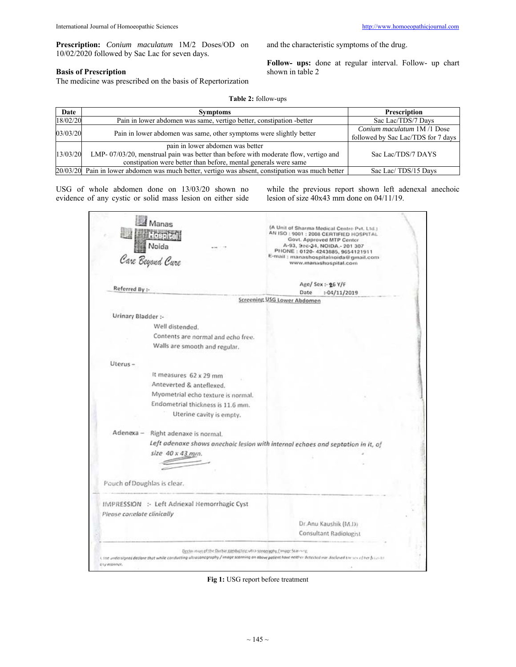## **Basis of Prescription**

The medicine was prescribed on the basis of Repertorization

and the characteristic symptoms of the drug.

**Follow- ups:** done at regular interval. Follow- up chart shown in table 2

| Date     | <b>Symptoms</b>                                                                                                                                                                            | <b>Prescription</b>                                              |
|----------|--------------------------------------------------------------------------------------------------------------------------------------------------------------------------------------------|------------------------------------------------------------------|
| 18/02/20 | Pain in lower abdomen was same, vertigo better, constipation - better                                                                                                                      | Sac Lac/TDS/7 Days                                               |
| 03/03/20 | Pain in lower abdomen was same, other symptoms were slightly better                                                                                                                        | Conium maculatum 1M/1 Dose<br>followed by Sac Lac/TDS for 7 days |
| 13/03/20 | pain in lower abdomen was better<br>LMP-07/03/20, menstrual pain was better than before with moderate flow, vertigo and<br>constipation were better than before, mental generals were same | Sac Lac/TDS/7 DAYS                                               |
|          | 20/03/20 Pain in lower abdomen was much better, vertigo was absent, constipation was much better                                                                                           | Sac Lac/TDS/15 Days                                              |

**Table 2:** follow-ups

USG of whole abdomen done on 13/03/20 shown no evidence of any cystic or solid mass lesion on either side while the previous report shown left adenexal anechoic lesion of size 40x43 mm done on 04/11/19.

| Noida<br>Care Beyond Cure                    | Govt. Approved MTP Center<br>A-93, 9ec-34, NOIDA - 201 307<br>PHONE: 0120-4243885, 9654121911<br>E-mail: manashospitalnoida@gmail.com<br>www.manashospital.com |
|----------------------------------------------|----------------------------------------------------------------------------------------------------------------------------------------------------------------|
| Referred By :-                               | Age/ Sex :- 26 Y/F                                                                                                                                             |
|                                              | Date.<br>$: -04/11/2019$                                                                                                                                       |
|                                              | Screening USG Lower Abdomen                                                                                                                                    |
| Urinary Bladder :-                           |                                                                                                                                                                |
| Well distended.                              |                                                                                                                                                                |
| Contents are normal and echo free.           |                                                                                                                                                                |
| Walls are smooth and regular.                |                                                                                                                                                                |
| Uterus-                                      |                                                                                                                                                                |
| It measures 62 x 29 mm                       |                                                                                                                                                                |
| Anteverted & anteflexed.                     |                                                                                                                                                                |
| Myometrial echo texture is normal.           |                                                                                                                                                                |
| Endometrial thickness is 11.6 mm.            |                                                                                                                                                                |
| Uterine cavity is empty.                     |                                                                                                                                                                |
| Adenexa - Right adenaxe is normal.           |                                                                                                                                                                |
|                                              | Left adenaxe shows anechoic lesion with internal echoes and septation in it, of                                                                                |
| size 40 x 43 mm.                             |                                                                                                                                                                |
|                                              |                                                                                                                                                                |
|                                              |                                                                                                                                                                |
| Pouch of Doughlas is clear.                  |                                                                                                                                                                |
| IMPRESSION :- Left Adriexal Hemorrhagic Cyst |                                                                                                                                                                |
| Please correlate clinically                  |                                                                                                                                                                |
|                                              | Dr.Anu Kaushik (M.D)                                                                                                                                           |
|                                              | Consultant Radiologist                                                                                                                                         |

**Fig 1:** USG report before treatment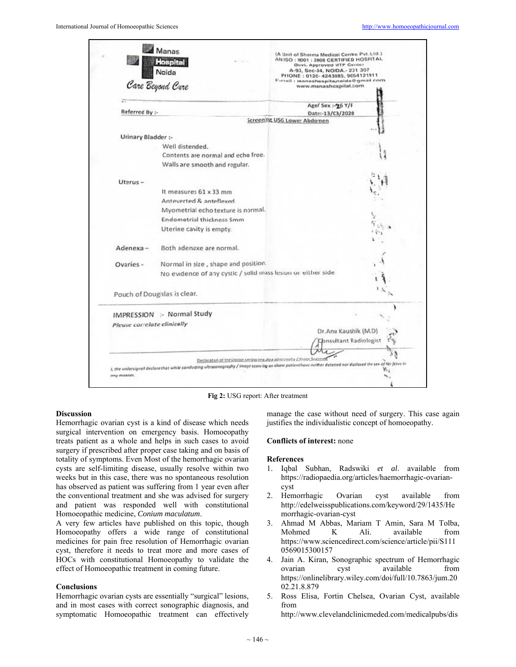

**Fig 2:** USG report: After treatment

#### **Discussion**

Hemorrhagic ovarian cyst is a kind of disease which needs surgical intervention on emergency basis. Homoeopathy treats patient as a whole and helps in such cases to avoid surgery if prescribed after proper case taking and on basis of totality of symptoms. Even Most of the hemorrhagic ovarian cysts are self-limiting disease, usually resolve within two weeks but in this case, there was no spontaneous resolution has observed as patient was suffering from 1 year even after the conventional treatment and she was advised for surgery and patient was responded well with constitutional Homoeopathic medicine, *Conium maculatum*.

A very few articles have published on this topic, though Homoeopathy offers a wide range of constitutional medicines for pain free resolution of Hemorrhagic ovarian cyst, therefore it needs to treat more and more cases of HOCs with constitutional Homoeopathy to validate the effect of Homoeopathic treatment in coming future.

#### **Conclusions**

Hemorrhagic ovarian cysts are essentially "surgical" lesions, and in most cases with correct sonographic diagnosis, and symptomatic Homoeopathic treatment can effectively manage the case without need of surgery. This case again justifies the individualistic concept of homoeopathy.

#### **Conflicts of interest:** none

#### **References**

- 1. Iqbal Subhan, Radswiki *et al*. available from https://radiopaedia.org/articles/haemorrhagic-ovariancyst
- 2. Hemorrhagic Ovarian cyst available from http://edelweisspublications.com/keyword/29/1435/He morrhagic-ovarian-cyst
- 3. Ahmad M Abbas, Mariam T Amin, Sara M Tolba, Mohmed K Ali. available from https://www.sciencedirect.com/science/article/pii/S111 0569015300157
- 4. Jain A. Kiran, Sonographic spectrum of Hemorrhagic ovarian cyst available from https://onlinelibrary.wiley.com/doi/full/10.7863/jum.20 02.21.8.879
- 5. Ross Elisa, Fortin Chelsea, Ovarian Cyst, available from

http://www.clevelandclinicmeded.com/medicalpubs/dis